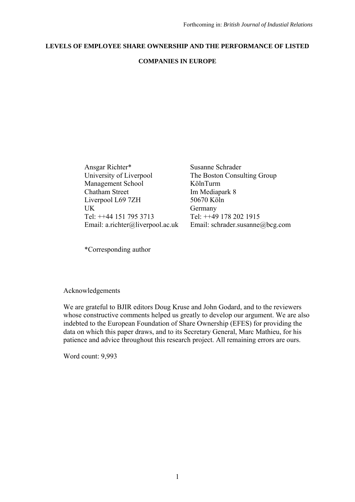# **LEVELS OF EMPLOYEE SHARE OWNERSHIP AND THE PERFORMANCE OF LISTED**

# **COMPANIES IN EUROPE**

Ansgar Richter\* Susanne Schrader University of Liverpool The Boston Consulting Group Management School KölnTurm Chatham Street Im Mediapark 8 Liverpool L69 7ZH 50670 Köln UK Germany Tel: ++44 151 795 3713 Tel: ++49 178 202 1915

Email: a.richter@liverpool.ac.uk Email: schrader.susanne@bcg.com

\*Corresponding author

# Acknowledgements

We are grateful to BJIR editors Doug Kruse and John Godard, and to the reviewers whose constructive comments helped us greatly to develop our argument. We are also indebted to the European Foundation of Share Ownership (EFES) for providing the data on which this paper draws, and to its Secretary General, Marc Mathieu, for his patience and advice throughout this research project. All remaining errors are ours.

Word count: 9,993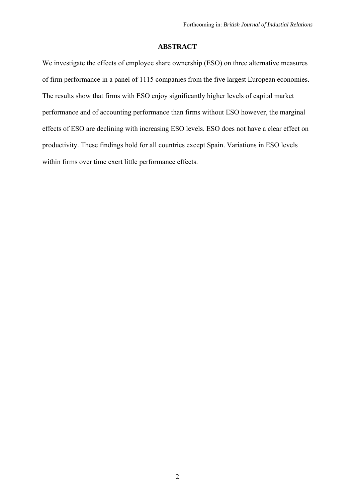# **ABSTRACT**

We investigate the effects of employee share ownership (ESO) on three alternative measures of firm performance in a panel of 1115 companies from the five largest European economies. The results show that firms with ESO enjoy significantly higher levels of capital market performance and of accounting performance than firms without ESO however, the marginal effects of ESO are declining with increasing ESO levels. ESO does not have a clear effect on productivity. These findings hold for all countries except Spain. Variations in ESO levels within firms over time exert little performance effects.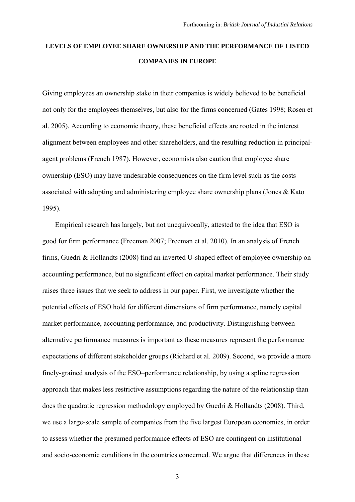# **LEVELS OF EMPLOYEE SHARE OWNERSHIP AND THE PERFORMANCE OF LISTED COMPANIES IN EUROPE**

Giving employees an ownership stake in their companies is widely believed to be beneficial not only for the employees themselves, but also for the firms concerned (Gates 1998; Rosen et al. 2005). According to economic theory, these beneficial effects are rooted in the interest alignment between employees and other shareholders, and the resulting reduction in principalagent problems (French 1987). However, economists also caution that employee share ownership (ESO) may have undesirable consequences on the firm level such as the costs associated with adopting and administering employee share ownership plans (Jones & Kato 1995).

Empirical research has largely, but not unequivocally, attested to the idea that ESO is good for firm performance (Freeman 2007; Freeman et al. 2010). In an analysis of French firms, Guedri & Hollandts (2008) find an inverted U-shaped effect of employee ownership on accounting performance, but no significant effect on capital market performance. Their study raises three issues that we seek to address in our paper. First, we investigate whether the potential effects of ESO hold for different dimensions of firm performance, namely capital market performance, accounting performance, and productivity. Distinguishing between alternative performance measures is important as these measures represent the performance expectations of different stakeholder groups (Richard et al. 2009). Second, we provide a more finely-grained analysis of the ESO–performance relationship, by using a spline regression approach that makes less restrictive assumptions regarding the nature of the relationship than does the quadratic regression methodology employed by Guedri & Hollandts (2008). Third, we use a large-scale sample of companies from the five largest European economies, in order to assess whether the presumed performance effects of ESO are contingent on institutional and socio-economic conditions in the countries concerned. We argue that differences in these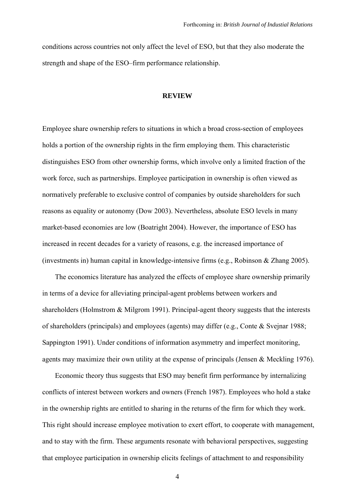conditions across countries not only affect the level of ESO, but that they also moderate the strength and shape of the ESO–firm performance relationship.

# **REVIEW**

Employee share ownership refers to situations in which a broad cross-section of employees holds a portion of the ownership rights in the firm employing them. This characteristic distinguishes ESO from other ownership forms, which involve only a limited fraction of the work force, such as partnerships. Employee participation in ownership is often viewed as normatively preferable to exclusive control of companies by outside shareholders for such reasons as equality or autonomy (Dow 2003). Nevertheless, absolute ESO levels in many market-based economies are low (Boatright 2004). However, the importance of ESO has increased in recent decades for a variety of reasons, e.g. the increased importance of (investments in) human capital in knowledge-intensive firms (e.g., Robinson & Zhang 2005).

The economics literature has analyzed the effects of employee share ownership primarily in terms of a device for alleviating principal-agent problems between workers and shareholders (Holmstrom & Milgrom 1991). Principal-agent theory suggests that the interests of shareholders (principals) and employees (agents) may differ (e.g., Conte & Svejnar 1988; Sappington 1991). Under conditions of information asymmetry and imperfect monitoring. agents may maximize their own utility at the expense of principals (Jensen & Meckling 1976).

Economic theory thus suggests that ESO may benefit firm performance by internalizing conflicts of interest between workers and owners (French 1987). Employees who hold a stake in the ownership rights are entitled to sharing in the returns of the firm for which they work. This right should increase employee motivation to exert effort, to cooperate with management, and to stay with the firm. These arguments resonate with behavioral perspectives, suggesting that employee participation in ownership elicits feelings of attachment to and responsibility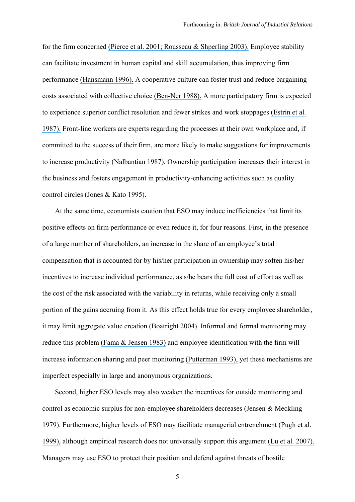for the firm concerned [\(Pierce et al. 2001; Rousseau & Shperling 2003\).](https://www.researchgate.net/publication/272577423_Toward_a_Theory_of_Psychological_Ownership_in_Organizations?el=1_x_8&enrichId=rgreq-bf6fc5ea-a734-4125-a098-d331cf69e429&enrichSource=Y292ZXJQYWdlOzI4MzU3OTQ5MztBUzoyOTM5MzA3NDc4NzUzMzlAMTQ0NzA4OTk1OTkzNQ==) Employee stability can facilitate investment in human capital and skill accumulation, thus improving firm performance [\(Hansmann 1996\).](https://www.researchgate.net/publication/37713203_The_Ownership_of_Enterprise?el=1_x_8&enrichId=rgreq-bf6fc5ea-a734-4125-a098-d331cf69e429&enrichSource=Y292ZXJQYWdlOzI4MzU3OTQ5MztBUzoyOTM5MzA3NDc4NzUzMzlAMTQ0NzA4OTk1OTkzNQ==) A cooperative culture can foster trust and reduce bargaining costs associated with collective choice [\(Ben-Ner 1988\).](https://www.researchgate.net/publication/4956319_Comparative_Empirical_Observations_on_Worker-Owned_and_Capitalist_Firms?el=1_x_8&enrichId=rgreq-bf6fc5ea-a734-4125-a098-d331cf69e429&enrichSource=Y292ZXJQYWdlOzI4MzU3OTQ5MztBUzoyOTM5MzA3NDc4NzUzMzlAMTQ0NzA4OTk1OTkzNQ==) A more participatory firm is expected to experience superior conflict resolution and fewer strikes and work stoppages [\(Estrin et al.](https://www.researchgate.net/publication/4968397_The_Productivity_Effects_of_Worker_Participation_Producer_Co-Operatives_in_Western_Economies?el=1_x_8&enrichId=rgreq-bf6fc5ea-a734-4125-a098-d331cf69e429&enrichSource=Y292ZXJQYWdlOzI4MzU3OTQ5MztBUzoyOTM5MzA3NDc4NzUzMzlAMTQ0NzA4OTk1OTkzNQ==)  [1987\).](https://www.researchgate.net/publication/4968397_The_Productivity_Effects_of_Worker_Participation_Producer_Co-Operatives_in_Western_Economies?el=1_x_8&enrichId=rgreq-bf6fc5ea-a734-4125-a098-d331cf69e429&enrichSource=Y292ZXJQYWdlOzI4MzU3OTQ5MztBUzoyOTM5MzA3NDc4NzUzMzlAMTQ0NzA4OTk1OTkzNQ==) Front-line workers are experts regarding the processes at their own workplace and, if committed to the success of their firm, are more likely to make suggestions for improvements to increase productivity (Nalbantian 1987). Ownership participation increases their interest in the business and fosters engagement in productivity-enhancing activities such as quality control circles (Jones & Kato 1995).

At the same time, economists caution that ESO may induce inefficiencies that limit its positive effects on firm performance or even reduce it, for four reasons. First, in the presence of a large number of shareholders, an increase in the share of an employee's total compensation that is accounted for by his/her participation in ownership may soften his/her incentives to increase individual performance, as s/he bears the full cost of effort as well as the cost of the risk associated with the variability in returns, while receiving only a small portion of the gains accruing from it. As this effect holds true for every employee shareholder, it may limit aggregate value creation [\(Boatright 2004\).](https://www.researchgate.net/publication/242591533_Employee_Governance_and_the_Ownership_of_the_Firm?el=1_x_8&enrichId=rgreq-bf6fc5ea-a734-4125-a098-d331cf69e429&enrichSource=Y292ZXJQYWdlOzI4MzU3OTQ5MztBUzoyOTM5MzA3NDc4NzUzMzlAMTQ0NzA4OTk1OTkzNQ==) Informal and formal monitoring may reduce this problem [\(Fama & Jensen 1983\)](https://www.researchgate.net/publication/2317738_Separation_of_ownership_and_control_J_Law_Econ?el=1_x_8&enrichId=rgreq-bf6fc5ea-a734-4125-a098-d331cf69e429&enrichSource=Y292ZXJQYWdlOzI4MzU3OTQ5MztBUzoyOTM5MzA3NDc4NzUzMzlAMTQ0NzA4OTk1OTkzNQ==) and employee identification with the firm will increase information sharing and peer monitoring [\(Putterman 1993\),](https://www.researchgate.net/publication/4968825_Ownership_and_the_Nature_of_the_Firm?el=1_x_8&enrichId=rgreq-bf6fc5ea-a734-4125-a098-d331cf69e429&enrichSource=Y292ZXJQYWdlOzI4MzU3OTQ5MztBUzoyOTM5MzA3NDc4NzUzMzlAMTQ0NzA4OTk1OTkzNQ==) yet these mechanisms are imperfect especially in large and anonymous organizations.

Second, higher ESO levels may also weaken the incentives for outside monitoring and control as economic surplus for non-employee shareholders decreases (Jensen & Meckling 1979). Furthermore, higher levels of ESO may facilitate managerial entrenchment [\(Pugh et al.](https://www.researchgate.net/publication/226744871_ESOPs_takeover_protection_and_corporate_decision-making?el=1_x_8&enrichId=rgreq-bf6fc5ea-a734-4125-a098-d331cf69e429&enrichSource=Y292ZXJQYWdlOzI4MzU3OTQ5MztBUzoyOTM5MzA3NDc4NzUzMzlAMTQ0NzA4OTk1OTkzNQ==) [1999\),](https://www.researchgate.net/publication/226744871_ESOPs_takeover_protection_and_corporate_decision-making?el=1_x_8&enrichId=rgreq-bf6fc5ea-a734-4125-a098-d331cf69e429&enrichSource=Y292ZXJQYWdlOzI4MzU3OTQ5MztBUzoyOTM5MzA3NDc4NzUzMzlAMTQ0NzA4OTk1OTkzNQ==) although empirical research does not universally support this argument [\(Lu et al. 2007\).](https://www.researchgate.net/publication/261895085_Managerial_Turnover_and_ESOP_Performance?el=1_x_8&enrichId=rgreq-bf6fc5ea-a734-4125-a098-d331cf69e429&enrichSource=Y292ZXJQYWdlOzI4MzU3OTQ5MztBUzoyOTM5MzA3NDc4NzUzMzlAMTQ0NzA4OTk1OTkzNQ==) Managers may use ESO to protect their position and defend against threats of hostile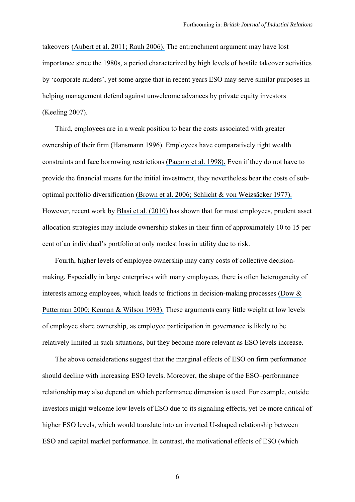takeovers [\(Aubert et al. 2011; Rauh 2006\).](https://www.researchgate.net/publication/228317762_Employee_Ownership_Management_Entrenchment_vs_Reward_Management?el=1_x_8&enrichId=rgreq-bf6fc5ea-a734-4125-a098-d331cf69e429&enrichSource=Y292ZXJQYWdlOzI4MzU3OTQ5MztBUzoyOTM5MzA3NDc4NzUzMzlAMTQ0NzA4OTk1OTkzNQ==) The entrenchment argument may have lost importance since the 1980s, a period characterized by high levels of hostile takeover activities by 'corporate raiders', yet some argue that in recent years ESO may serve similar purposes in helping management defend against unwelcome advances by private equity investors (Keeling 2007).

Third, employees are in a weak position to bear the costs associated with greater ownership of their firm [\(Hansmann 1996\).](https://www.researchgate.net/publication/37713203_The_Ownership_of_Enterprise?el=1_x_8&enrichId=rgreq-bf6fc5ea-a734-4125-a098-d331cf69e429&enrichSource=Y292ZXJQYWdlOzI4MzU3OTQ5MztBUzoyOTM5MzA3NDc4NzUzMzlAMTQ0NzA4OTk1OTkzNQ==) Employees have comparatively tight wealth constraints and face borrowing restrictions [\(Pagano et al. 1998\).](https://www.researchgate.net/publication/4912944_Why_Do_Companies_Go_Public_An_Empirical_Analysis?el=1_x_8&enrichId=rgreq-bf6fc5ea-a734-4125-a098-d331cf69e429&enrichSource=Y292ZXJQYWdlOzI4MzU3OTQ5MztBUzoyOTM5MzA3NDc4NzUzMzlAMTQ0NzA4OTk1OTkzNQ==) Even if they do not have to provide the financial means for the initial investment, they nevertheless bear the costs of suboptimal portfolio diversification [\(Brown et al. 2006; Schlicht & von Weizsäcker 1977\).](https://www.researchgate.net/publication/4921980_401k_Matching_Contributions_in_Company_Stock_Costs_and_Benefits_for_Firms_and_Workers?el=1_x_8&enrichId=rgreq-bf6fc5ea-a734-4125-a098-d331cf69e429&enrichSource=Y292ZXJQYWdlOzI4MzU3OTQ5MztBUzoyOTM5MzA3NDc4NzUzMzlAMTQ0NzA4OTk1OTkzNQ==)  However, recent work by [Blasi et al. \(2010\)](https://www.researchgate.net/publication/5189239_Risk_and_Lack_of_Diversification_under_Employee_Ownership_and_Shared_Capitalism?el=1_x_8&enrichId=rgreq-bf6fc5ea-a734-4125-a098-d331cf69e429&enrichSource=Y292ZXJQYWdlOzI4MzU3OTQ5MztBUzoyOTM5MzA3NDc4NzUzMzlAMTQ0NzA4OTk1OTkzNQ==) has shown that for most employees, prudent asset allocation strategies may include ownership stakes in their firm of approximately 10 to 15 per cent of an individual's portfolio at only modest loss in utility due to risk.

Fourth, higher levels of employee ownership may carry costs of collective decisionmaking. Especially in large enterprises with many employees, there is often heterogeneity of interests among employees, which leads to frictions in decision-making processes [\(Dow &](https://www.researchgate.net/publication/4781299_Why_Capital_Suppliers_Usually_Hire_Workers_What_We_Know_and_What_We_Need_to_Know?el=1_x_8&enrichId=rgreq-bf6fc5ea-a734-4125-a098-d331cf69e429&enrichSource=Y292ZXJQYWdlOzI4MzU3OTQ5MztBUzoyOTM5MzA3NDc4NzUzMzlAMTQ0NzA4OTk1OTkzNQ==) [Putterman 2000; Kennan & Wilson 1993\).](https://www.researchgate.net/publication/4781299_Why_Capital_Suppliers_Usually_Hire_Workers_What_We_Know_and_What_We_Need_to_Know?el=1_x_8&enrichId=rgreq-bf6fc5ea-a734-4125-a098-d331cf69e429&enrichSource=Y292ZXJQYWdlOzI4MzU3OTQ5MztBUzoyOTM5MzA3NDc4NzUzMzlAMTQ0NzA4OTk1OTkzNQ==) These arguments carry little weight at low levels of employee share ownership, as employee participation in governance is likely to be relatively limited in such situations, but they become more relevant as ESO levels increase.

The above considerations suggest that the marginal effects of ESO on firm performance should decline with increasing ESO levels. Moreover, the shape of the ESO–performance relationship may also depend on which performance dimension is used. For example, outside investors might welcome low levels of ESO due to its signaling effects, yet be more critical of higher ESO levels, which would translate into an inverted U-shaped relationship between ESO and capital market performance. In contrast, the motivational effects of ESO (which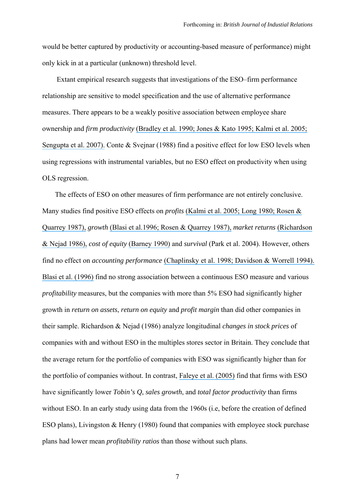would be better captured by productivity or accounting-based measure of performance) might only kick in at a particular (unknown) threshold level.

 Extant empirical research suggests that investigations of the ESO–firm performance relationship are sensitive to model specification and the use of alternative performance measures. There appears to be a weakly positive association between employee share ownership and *firm productivity* [\(Bradley et al. 1990; Jones & Kato 1995; Kalmi et al. 2005;](https://www.researchgate.net/publication/229631164_Employee_Ownership_and_Company_Performance?el=1_x_8&enrichId=rgreq-bf6fc5ea-a734-4125-a098-d331cf69e429&enrichSource=Y292ZXJQYWdlOzI4MzU3OTQ5MztBUzoyOTM5MzA3NDc4NzUzMzlAMTQ0NzA4OTk1OTkzNQ==) [Sengupta et al. 2007\).](https://www.researchgate.net/publication/229631164_Employee_Ownership_and_Company_Performance?el=1_x_8&enrichId=rgreq-bf6fc5ea-a734-4125-a098-d331cf69e429&enrichSource=Y292ZXJQYWdlOzI4MzU3OTQ5MztBUzoyOTM5MzA3NDc4NzUzMzlAMTQ0NzA4OTk1OTkzNQ==) Conte & Svejnar (1988) find a positive effect for low ESO levels when using regressions with instrumental variables, but no ESO effect on productivity when using OLS regression.

The effects of ESO on other measures of firm performance are not entirely conclusive. Many studies find positive ESO effects on *profits* [\(Kalmi et al. 2005; Long 1980; Rosen &](https://www.researchgate.net/publication/274226238_Job_Attitudes_and_Organizational_Performance_Under_Employee_Ownership?el=1_x_8&enrichId=rgreq-bf6fc5ea-a734-4125-a098-d331cf69e429&enrichSource=Y292ZXJQYWdlOzI4MzU3OTQ5MztBUzoyOTM5MzA3NDc4NzUzMzlAMTQ0NzA4OTk1OTkzNQ==) [Quarrey 1987\),](https://www.researchgate.net/publication/274226238_Job_Attitudes_and_Organizational_Performance_Under_Employee_Ownership?el=1_x_8&enrichId=rgreq-bf6fc5ea-a734-4125-a098-d331cf69e429&enrichSource=Y292ZXJQYWdlOzI4MzU3OTQ5MztBUzoyOTM5MzA3NDc4NzUzMzlAMTQ0NzA4OTk1OTkzNQ==) *growth* [\(Blasi et al.1996; Rosen & Quarrey 1987\),](https://www.researchgate.net/publication/5119292_Employee_Stock_Ownership_and_Corporate_Performance_Among_Public_Companies?el=1_x_8&enrichId=rgreq-bf6fc5ea-a734-4125-a098-d331cf69e429&enrichSource=Y292ZXJQYWdlOzI4MzU3OTQ5MztBUzoyOTM5MzA3NDc4NzUzMzlAMTQ0NzA4OTk1OTkzNQ==) *market returns* [\(Richardson](https://www.researchgate.net/publication/281506418_Employee_Share_Ownership_in_the_UK_An_Evaluation?el=1_x_8&enrichId=rgreq-bf6fc5ea-a734-4125-a098-d331cf69e429&enrichSource=Y292ZXJQYWdlOzI4MzU3OTQ5MztBUzoyOTM5MzA3NDc4NzUzMzlAMTQ0NzA4OTk1OTkzNQ==)  [& Nejad 1986\),](https://www.researchgate.net/publication/281506418_Employee_Share_Ownership_in_the_UK_An_Evaluation?el=1_x_8&enrichId=rgreq-bf6fc5ea-a734-4125-a098-d331cf69e429&enrichSource=Y292ZXJQYWdlOzI4MzU3OTQ5MztBUzoyOTM5MzA3NDc4NzUzMzlAMTQ0NzA4OTk1OTkzNQ==) *cost of equity* [\(Barney 1990\)](https://www.researchgate.net/publication/247733757_Employee_Stock_Ownership_and_the_Cost_of_Equity_in_Japanese_Electronics_Firms?el=1_x_8&enrichId=rgreq-bf6fc5ea-a734-4125-a098-d331cf69e429&enrichSource=Y292ZXJQYWdlOzI4MzU3OTQ5MztBUzoyOTM5MzA3NDc4NzUzMzlAMTQ0NzA4OTk1OTkzNQ==) and *survival* (Park et al. 2004). However, others find no effect on *accounting performance* [\(Chaplinsky et al. 1998; Davidson & Worrell 1994\).](https://www.researchgate.net/publication/271197046_ESOP) [Blasi et al. \(1996\)](https://www.researchgate.net/publication/5119292_Employee_Stock_Ownership_and_Corporate_Performance_Among_Public_Companies?el=1_x_8&enrichId=rgreq-bf6fc5ea-a734-4125-a098-d331cf69e429&enrichSource=Y292ZXJQYWdlOzI4MzU3OTQ5MztBUzoyOTM5MzA3NDc4NzUzMzlAMTQ0NzA4OTk1OTkzNQ==) find no strong association between a continuous ESO measure and various *profitability* measures, but the companies with more than 5% ESO had significantly higher growth in *return on assets*, *return on equity* and *profit margin* than did other companies in their sample. Richardson & Nejad (1986) analyze longitudinal *changes in stock prices* of companies with and without ESO in the multiples stores sector in Britain. They conclude that the average return for the portfolio of companies with ESO was significantly higher than for the portfolio of companies without. In contrast, [Faleye et al. \(2005\)](https://www.researchgate.net/publication/46543510_When_Labor_Has_a_Voice_in_Corporate_Governance?el=1_x_8&enrichId=rgreq-bf6fc5ea-a734-4125-a098-d331cf69e429&enrichSource=Y292ZXJQYWdlOzI4MzU3OTQ5MztBUzoyOTM5MzA3NDc4NzUzMzlAMTQ0NzA4OTk1OTkzNQ==) find that firms with ESO have significantly lower *Tobin's Q*, *sales growth*, and *total factor productivity* than firms without ESO. In an early study using data from the 1960s (i.e. before the creation of defined ESO plans), Livingston & Henry (1980) found that companies with employee stock purchase plans had lower mean *profitability ratios* than those without such plans.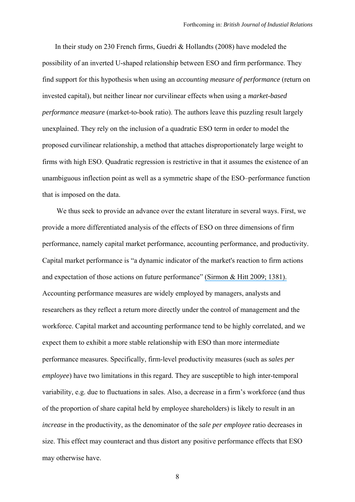In their study on 230 French firms, Guedri & Hollandts (2008) have modeled the possibility of an inverted U-shaped relationship between ESO and firm performance. They find support for this hypothesis when using an *accounting measure of performance* (return on invested capital), but neither linear nor curvilinear effects when using a *market-based performance measure* (market-to-book ratio). The authors leave this puzzling result largely unexplained. They rely on the inclusion of a quadratic ESO term in order to model the proposed curvilinear relationship, a method that attaches disproportionately large weight to firms with high ESO. Quadratic regression is restrictive in that it assumes the existence of an unambiguous inflection point as well as a symmetric shape of the ESO–performance function that is imposed on the data.

We thus seek to provide an advance over the extant literature in several ways. First, we provide a more differentiated analysis of the effects of ESO on three dimensions of firm performance, namely capital market performance, accounting performance, and productivity. Capital market performance is "a dynamic indicator of the market's reaction to firm actions and expectation of those actions on future performance" [\(Sirmon & Hitt 2009; 1381\).](https://www.researchgate.net/publication/227967322_Contingencies_within_dynamic_managerial_capabilities_Interdependent_effects_of_resource_investment_and_deployment_on_firm_performance?el=1_x_8&enrichId=rgreq-bf6fc5ea-a734-4125-a098-d331cf69e429&enrichSource=Y292ZXJQYWdlOzI4MzU3OTQ5MztBUzoyOTM5MzA3NDc4NzUzMzlAMTQ0NzA4OTk1OTkzNQ==) Accounting performance measures are widely employed by managers, analysts and researchers as they reflect a return more directly under the control of management and the workforce. Capital market and accounting performance tend to be highly correlated, and we expect them to exhibit a more stable relationship with ESO than more intermediate performance measures. Specifically, firm-level productivity measures (such as *sales per employee*) have two limitations in this regard. They are susceptible to high inter-temporal variability, e.g. due to fluctuations in sales. Also, a decrease in a firm's workforce (and thus of the proportion of share capital held by employee shareholders) is likely to result in an *increase* in the productivity, as the denominator of the *sale per employee* ratio decreases in size. This effect may counteract and thus distort any positive performance effects that ESO may otherwise have.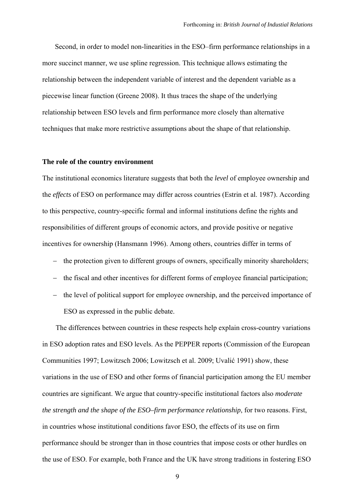Second, in order to model non-linearities in the ESO–firm performance relationships in a more succinct manner, we use spline regression. This technique allows estimating the relationship between the independent variable of interest and the dependent variable as a piecewise linear function (Greene 2008). It thus traces the shape of the underlying relationship between ESO levels and firm performance more closely than alternative techniques that make more restrictive assumptions about the shape of that relationship.

#### **The role of the country environment**

The institutional economics literature suggests that both the *level* of employee ownership and the *effects* of ESO on performance may differ across countries (Estrin et al. 1987). According to this perspective, country-specific formal and informal institutions define the rights and responsibilities of different groups of economic actors, and provide positive or negative incentives for ownership (Hansmann 1996). Among others, countries differ in terms of

- the protection given to different groups of owners, specifically minority shareholders;
- the fiscal and other incentives for different forms of employee financial participation;
- the level of political support for employee ownership, and the perceived importance of ESO as expressed in the public debate.

The differences between countries in these respects help explain cross-country variations in ESO adoption rates and ESO levels. As the PEPPER reports (Commission of the European Communities 1997; Lowitzsch 2006; Lowitzsch et al. 2009; Uvalić 1991) show, these variations in the use of ESO and other forms of financial participation among the EU member countries are significant. We argue that country-specific institutional factors also *moderate the strength and the shape of the ESO–firm performance relationship*, for two reasons. First, in countries whose institutional conditions favor ESO, the effects of its use on firm performance should be stronger than in those countries that impose costs or other hurdles on the use of ESO. For example, both France and the UK have strong traditions in fostering ESO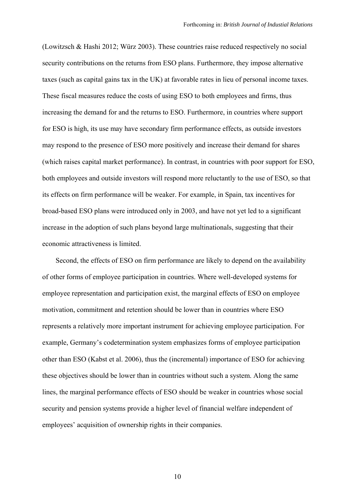(Lowitzsch & Hashi 2012; Würz 2003). These countries raise reduced respectively no social security contributions on the returns from ESO plans. Furthermore, they impose alternative taxes (such as capital gains tax in the UK) at favorable rates in lieu of personal income taxes. These fiscal measures reduce the costs of using ESO to both employees and firms, thus increasing the demand for and the returns to ESO. Furthermore, in countries where support for ESO is high, its use may have secondary firm performance effects, as outside investors may respond to the presence of ESO more positively and increase their demand for shares (which raises capital market performance). In contrast, in countries with poor support for ESO, both employees and outside investors will respond more reluctantly to the use of ESO, so that its effects on firm performance will be weaker. For example, in Spain, tax incentives for broad-based ESO plans were introduced only in 2003, and have not yet led to a significant increase in the adoption of such plans beyond large multinationals, suggesting that their economic attractiveness is limited.

Second, the effects of ESO on firm performance are likely to depend on the availability of other forms of employee participation in countries. Where well-developed systems for employee representation and participation exist, the marginal effects of ESO on employee motivation, commitment and retention should be lower than in countries where ESO represents a relatively more important instrument for achieving employee participation. For example, Germany's codetermination system emphasizes forms of employee participation other than ESO (Kabst et al. 2006), thus the (incremental) importance of ESO for achieving these objectives should be lower than in countries without such a system. Along the same lines, the marginal performance effects of ESO should be weaker in countries whose social security and pension systems provide a higher level of financial welfare independent of employees' acquisition of ownership rights in their companies.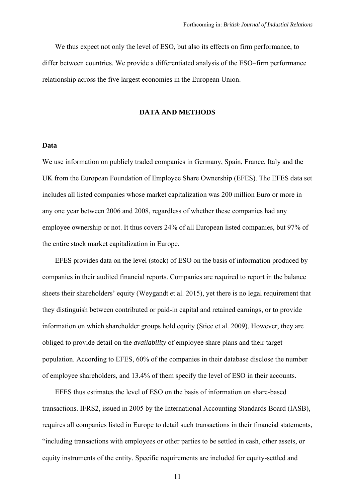We thus expect not only the level of ESO, but also its effects on firm performance, to differ between countries. We provide a differentiated analysis of the ESO–firm performance relationship across the five largest economies in the European Union.

#### **DATA AND METHODS**

#### **Data**

We use information on publicly traded companies in Germany, Spain, France, Italy and the UK from the European Foundation of Employee Share Ownership (EFES). The EFES data set includes all listed companies whose market capitalization was 200 million Euro or more in any one year between 2006 and 2008, regardless of whether these companies had any employee ownership or not. It thus covers 24% of all European listed companies, but 97% of the entire stock market capitalization in Europe.

EFES provides data on the level (stock) of ESO on the basis of information produced by companies in their audited financial reports. Companies are required to report in the balance sheets their shareholders' equity (Weygandt et al. 2015), yet there is no legal requirement that they distinguish between contributed or paid-in capital and retained earnings, or to provide information on which shareholder groups hold equity (Stice et al. 2009). However, they are obliged to provide detail on the *availability* of employee share plans and their target population. According to EFES, 60% of the companies in their database disclose the number of employee shareholders, and 13.4% of them specify the level of ESO in their accounts.

EFES thus estimates the level of ESO on the basis of information on share-based transactions. IFRS2, issued in 2005 by the International Accounting Standards Board (IASB), requires all companies listed in Europe to detail such transactions in their financial statements, "including transactions with employees or other parties to be settled in cash, other assets, or equity instruments of the entity. Specific requirements are included for equity-settled and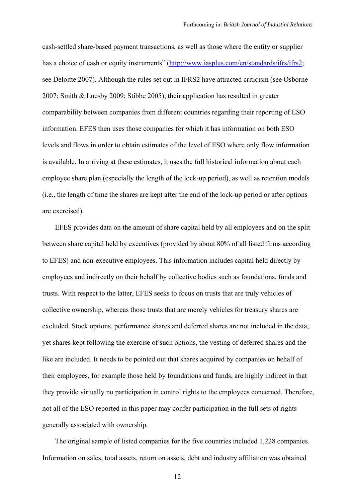cash-settled share-based payment transactions, as well as those where the entity or supplier has a choice of cash or equity instruments" (http://www.iasplus.com/en/standards/ifrs/ifrs2; see Deloitte 2007). Although the rules set out in IFRS2 have attracted criticism (see Osborne 2007; Smith & Luesby 2009; Stibbe 2005), their application has resulted in greater comparability between companies from different countries regarding their reporting of ESO information. EFES then uses those companies for which it has information on both ESO levels and flows in order to obtain estimates of the level of ESO where only flow information is available. In arriving at these estimates, it uses the full historical information about each employee share plan (especially the length of the lock-up period), as well as retention models (i.e., the length of time the shares are kept after the end of the lock-up period or after options are exercised).

EFES provides data on the amount of share capital held by all employees and on the split between share capital held by executives (provided by about 80% of all listed firms according to EFES) and non-executive employees. This information includes capital held directly by employees and indirectly on their behalf by collective bodies such as foundations, funds and trusts. With respect to the latter, EFES seeks to focus on trusts that are truly vehicles of collective ownership, whereas those trusts that are merely vehicles for treasury shares are excluded. Stock options, performance shares and deferred shares are not included in the data, yet shares kept following the exercise of such options, the vesting of deferred shares and the like are included. It needs to be pointed out that shares acquired by companies on behalf of their employees, for example those held by foundations and funds, are highly indirect in that they provide virtually no participation in control rights to the employees concerned. Therefore, not all of the ESO reported in this paper may confer participation in the full sets of rights generally associated with ownership.

The original sample of listed companies for the five countries included 1,228 companies. Information on sales, total assets, return on assets, debt and industry affiliation was obtained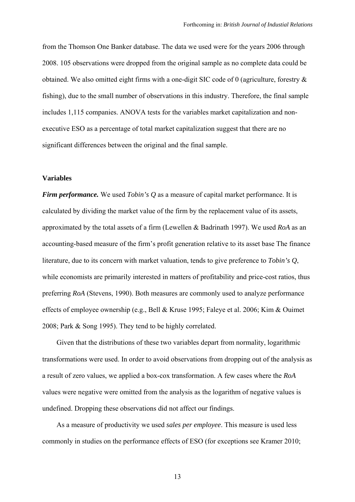from the Thomson One Banker database. The data we used were for the years 2006 through 2008. 105 observations were dropped from the original sample as no complete data could be obtained. We also omitted eight firms with a one-digit SIC code of 0 (agriculture, forestry & fishing), due to the small number of observations in this industry. Therefore, the final sample includes 1,115 companies. ANOVA tests for the variables market capitalization and nonexecutive ESO as a percentage of total market capitalization suggest that there are no significant differences between the original and the final sample.

#### **Variables**

*Firm performance.* We used *Tobin's Q* as a measure of capital market performance. It is calculated by dividing the market value of the firm by the replacement value of its assets, approximated by the total assets of a firm (Lewellen & Badrinath 1997). We used *RoA* as an accounting-based measure of the firm's profit generation relative to its asset base The finance literature, due to its concern with market valuation, tends to give preference to *Tobin's Q*, while economists are primarily interested in matters of profitability and price-cost ratios, thus preferring *RoA* (Stevens, 1990). Both measures are commonly used to analyze performance effects of employee ownership (e.g., Bell & Kruse 1995; Faleye et al. 2006; Kim & Ouimet 2008; Park & Song 1995). They tend to be highly correlated.

Given that the distributions of these two variables depart from normality, logarithmic transformations were used. In order to avoid observations from dropping out of the analysis as a result of zero values, we applied a box-cox transformation. A few cases where the *RoA* values were negative were omitted from the analysis as the logarithm of negative values is undefined. Dropping these observations did not affect our findings.

As a measure of productivity we used *sales per employee*. This measure is used less commonly in studies on the performance effects of ESO (for exceptions see Kramer 2010;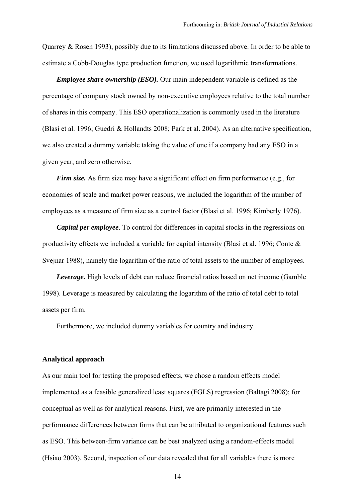Quarrey & Rosen 1993), possibly due to its limitations discussed above. In order to be able to estimate a Cobb-Douglas type production function, we used logarithmic transformations.

*Employee share ownership (ESO).* Our main independent variable is defined as the percentage of company stock owned by non-executive employees relative to the total number of shares in this company. This ESO operationalization is commonly used in the literature (Blasi et al. 1996; Guedri & Hollandts 2008; Park et al. 2004). As an alternative specification, we also created a dummy variable taking the value of one if a company had any ESO in a given year, and zero otherwise.

*Firm size.* As firm size may have a significant effect on firm performance (e.g., for economies of scale and market power reasons, we included the logarithm of the number of employees as a measure of firm size as a control factor (Blasi et al. 1996; Kimberly 1976).

*Capital per employee*. To control for differences in capital stocks in the regressions on productivity effects we included a variable for capital intensity (Blasi et al. 1996; Conte & Svejnar 1988), namely the logarithm of the ratio of total assets to the number of employees.

*Leverage.* High levels of debt can reduce financial ratios based on net income (Gamble 1998). Leverage is measured by calculating the logarithm of the ratio of total debt to total assets per firm.

Furthermore, we included dummy variables for country and industry.

#### **Analytical approach**

As our main tool for testing the proposed effects, we chose a random effects model implemented as a feasible generalized least squares (FGLS) regression (Baltagi 2008); for conceptual as well as for analytical reasons. First, we are primarily interested in the performance differences between firms that can be attributed to organizational features such as ESO. This between-firm variance can be best analyzed using a random-effects model (Hsiao 2003). Second, inspection of our data revealed that for all variables there is more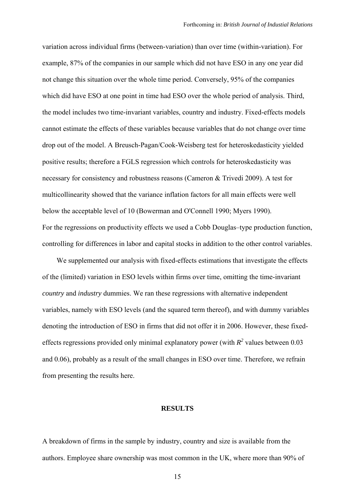variation across individual firms (between-variation) than over time (within-variation). For example, 87% of the companies in our sample which did not have ESO in any one year did not change this situation over the whole time period. Conversely, 95% of the companies which did have ESO at one point in time had ESO over the whole period of analysis. Third, the model includes two time-invariant variables, country and industry. Fixed-effects models cannot estimate the effects of these variables because variables that do not change over time drop out of the model. A Breusch-Pagan/Cook-Weisberg test for heteroskedasticity yielded positive results; therefore a FGLS regression which controls for heteroskedasticity was necessary for consistency and robustness reasons (Cameron & Trivedi 2009). A test for multicollinearity showed that the variance inflation factors for all main effects were well below the acceptable level of 10 (Bowerman and O'Connell 1990; Myers 1990). For the regressions on productivity effects we used a Cobb Douglas–type production function, controlling for differences in labor and capital stocks in addition to the other control variables.

We supplemented our analysis with fixed-effects estimations that investigate the effects of the (limited) variation in ESO levels within firms over time, omitting the time-invariant *country* and *industry* dummies. We ran these regressions with alternative independent variables, namely with ESO levels (and the squared term thereof), and with dummy variables denoting the introduction of ESO in firms that did not offer it in 2006. However, these fixedeffects regressions provided only minimal explanatory power (with  $R^2$  values between 0.03 and 0.06), probably as a result of the small changes in ESO over time. Therefore, we refrain from presenting the results here.

#### **RESULTS**

A breakdown of firms in the sample by industry, country and size is available from the authors. Employee share ownership was most common in the UK, where more than 90% of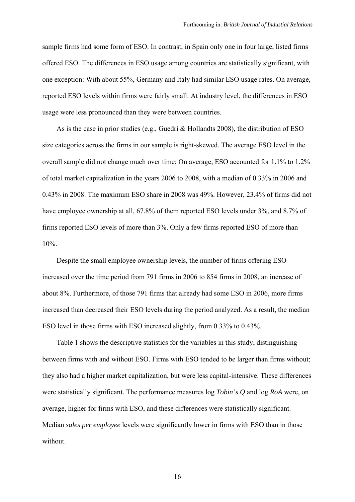sample firms had some form of ESO. In contrast, in Spain only one in four large, listed firms offered ESO. The differences in ESO usage among countries are statistically significant, with one exception: With about 55%, Germany and Italy had similar ESO usage rates. On average, reported ESO levels within firms were fairly small. At industry level, the differences in ESO usage were less pronounced than they were between countries.

As is the case in prior studies (e.g., Guedri & Hollandts 2008), the distribution of ESO size categories across the firms in our sample is right-skewed. The average ESO level in the overall sample did not change much over time: On average, ESO accounted for 1.1% to 1.2% of total market capitalization in the years 2006 to 2008, with a median of 0.33% in 2006 and 0.43% in 2008. The maximum ESO share in 2008 was 49%. However, 23.4% of firms did not have employee ownership at all, 67.8% of them reported ESO levels under 3%, and 8.7% of firms reported ESO levels of more than 3%. Only a few firms reported ESO of more than 10%.

Despite the small employee ownership levels, the number of firms offering ESO increased over the time period from 791 firms in 2006 to 854 firms in 2008, an increase of about 8%. Furthermore, of those 791 firms that already had some ESO in 2006, more firms increased than decreased their ESO levels during the period analyzed. As a result, the median ESO level in those firms with ESO increased slightly, from 0.33% to 0.43%.

Table 1 shows the descriptive statistics for the variables in this study, distinguishing between firms with and without ESO. Firms with ESO tended to be larger than firms without; they also had a higher market capitalization, but were less capital-intensive. These differences were statistically significant. The performance measures log *Tobin's Q* and log *RoA* were, on average, higher for firms with ESO, and these differences were statistically significant. Median *sales per employee* levels were significantly lower in firms with ESO than in those without.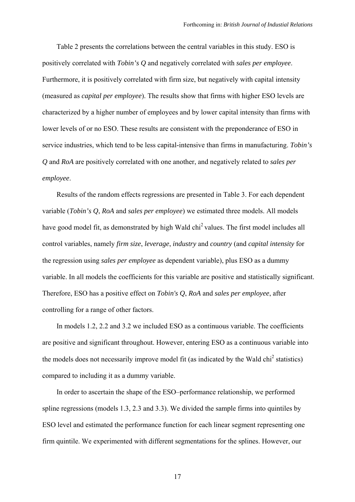Table 2 presents the correlations between the central variables in this study. ESO is positively correlated with *Tobin's Q* and negatively correlated with *sales per employee*. Furthermore, it is positively correlated with firm size, but negatively with capital intensity (measured as *capital per employee*). The results show that firms with higher ESO levels are characterized by a higher number of employees and by lower capital intensity than firms with lower levels of or no ESO. These results are consistent with the preponderance of ESO in service industries, which tend to be less capital-intensive than firms in manufacturing. *Tobin's Q* and *RoA* are positively correlated with one another, and negatively related to *sales per employee*.

Results of the random effects regressions are presented in Table 3. For each dependent variable (*Tobin's Q*, *RoA* and *sales per employee*) we estimated three models. All models have good model fit, as demonstrated by high Wald chi<sup>2</sup> values. The first model includes all control variables, namely *firm size*, *leverage*, *industry* and *country* (and *capital intensity* for the regression using *sales per employee* as dependent variable), plus ESO as a dummy variable. In all models the coefficients for this variable are positive and statistically significant. Therefore, ESO has a positive effect on *Tobin's Q*, *RoA* and *sales per employee*, after controlling for a range of other factors.

In models 1.2, 2.2 and 3.2 we included ESO as a continuous variable. The coefficients are positive and significant throughout. However, entering ESO as a continuous variable into the models does not necessarily improve model fit (as indicated by the Wald chi<sup>2</sup> statistics) compared to including it as a dummy variable.

In order to ascertain the shape of the ESO–performance relationship, we performed spline regressions (models 1.3, 2.3 and 3.3). We divided the sample firms into quintiles by ESO level and estimated the performance function for each linear segment representing one firm quintile. We experimented with different segmentations for the splines. However, our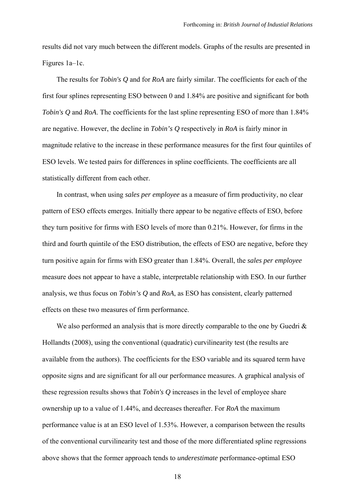results did not vary much between the different models. Graphs of the results are presented in Figures 1a–1c.

The results for *Tobin's Q* and for *RoA* are fairly similar. The coefficients for each of the first four splines representing ESO between 0 and 1.84% are positive and significant for both *Tobin's Q* and *RoA*. The coefficients for the last spline representing ESO of more than 1.84% are negative. However, the decline in *Tobin's Q* respectively in *RoA* is fairly minor in magnitude relative to the increase in these performance measures for the first four quintiles of ESO levels. We tested pairs for differences in spline coefficients. The coefficients are all statistically different from each other.

In contrast, when using *sales per employee* as a measure of firm productivity, no clear pattern of ESO effects emerges. Initially there appear to be negative effects of ESO, before they turn positive for firms with ESO levels of more than 0.21%. However, for firms in the third and fourth quintile of the ESO distribution, the effects of ESO are negative, before they turn positive again for firms with ESO greater than 1.84%. Overall, the *sales per employee* measure does not appear to have a stable, interpretable relationship with ESO. In our further analysis, we thus focus on *Tobin's Q* and *RoA*, as ESO has consistent, clearly patterned effects on these two measures of firm performance.

We also performed an analysis that is more directly comparable to the one by Guedri  $\&$ Hollandts (2008), using the conventional (quadratic) curvilinearity test (the results are available from the authors). The coefficients for the ESO variable and its squared term have opposite signs and are significant for all our performance measures. A graphical analysis of these regression results shows that *Tobin's Q* increases in the level of employee share ownership up to a value of 1.44%, and decreases thereafter. For *RoA* the maximum performance value is at an ESO level of 1.53%. However, a comparison between the results of the conventional curvilinearity test and those of the more differentiated spline regressions above shows that the former approach tends to *underestimate* performance-optimal ESO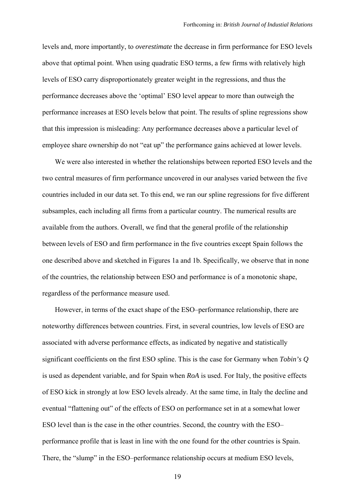levels and, more importantly, to *overestimate* the decrease in firm performance for ESO levels above that optimal point. When using quadratic ESO terms, a few firms with relatively high levels of ESO carry disproportionately greater weight in the regressions, and thus the performance decreases above the 'optimal' ESO level appear to more than outweigh the performance increases at ESO levels below that point. The results of spline regressions show that this impression is misleading: Any performance decreases above a particular level of employee share ownership do not "eat up" the performance gains achieved at lower levels.

We were also interested in whether the relationships between reported ESO levels and the two central measures of firm performance uncovered in our analyses varied between the five countries included in our data set. To this end, we ran our spline regressions for five different subsamples, each including all firms from a particular country. The numerical results are available from the authors. Overall, we find that the general profile of the relationship between levels of ESO and firm performance in the five countries except Spain follows the one described above and sketched in Figures 1a and 1b. Specifically, we observe that in none of the countries, the relationship between ESO and performance is of a monotonic shape, regardless of the performance measure used.

However, in terms of the exact shape of the ESO–performance relationship, there are noteworthy differences between countries. First, in several countries, low levels of ESO are associated with adverse performance effects, as indicated by negative and statistically significant coefficients on the first ESO spline. This is the case for Germany when *Tobin's Q* is used as dependent variable, and for Spain when *RoA* is used. For Italy, the positive effects of ESO kick in strongly at low ESO levels already. At the same time, in Italy the decline and eventual "flattening out" of the effects of ESO on performance set in at a somewhat lower ESO level than is the case in the other countries. Second, the country with the ESO– performance profile that is least in line with the one found for the other countries is Spain. There, the "slump" in the ESO–performance relationship occurs at medium ESO levels,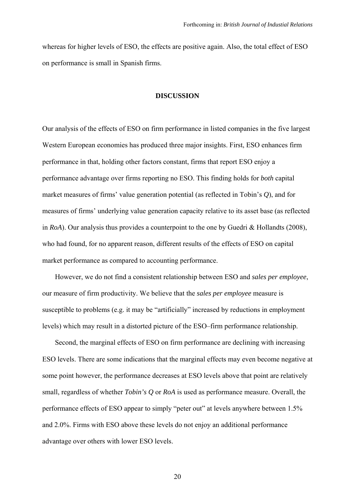whereas for higher levels of ESO, the effects are positive again. Also, the total effect of ESO on performance is small in Spanish firms.

# **DISCUSSION**

Our analysis of the effects of ESO on firm performance in listed companies in the five largest Western European economies has produced three major insights. First, ESO enhances firm performance in that, holding other factors constant, firms that report ESO enjoy a performance advantage over firms reporting no ESO. This finding holds for *both* capital market measures of firms' value generation potential (as reflected in Tobin's *Q*), and for measures of firms' underlying value generation capacity relative to its asset base (as reflected in *RoA*). Our analysis thus provides a counterpoint to the one by Guedri & Hollandts (2008), who had found, for no apparent reason, different results of the effects of ESO on capital market performance as compared to accounting performance.

However, we do not find a consistent relationship between ESO and *sales per employee*, our measure of firm productivity. We believe that the *sales per employee* measure is susceptible to problems (e.g. it may be "artificially" increased by reductions in employment levels) which may result in a distorted picture of the ESO–firm performance relationship.

Second, the marginal effects of ESO on firm performance are declining with increasing ESO levels. There are some indications that the marginal effects may even become negative at some point however, the performance decreases at ESO levels above that point are relatively small, regardless of whether *Tobin's Q* or *RoA* is used as performance measure. Overall, the performance effects of ESO appear to simply "peter out" at levels anywhere between 1.5% and 2.0%. Firms with ESO above these levels do not enjoy an additional performance advantage over others with lower ESO levels.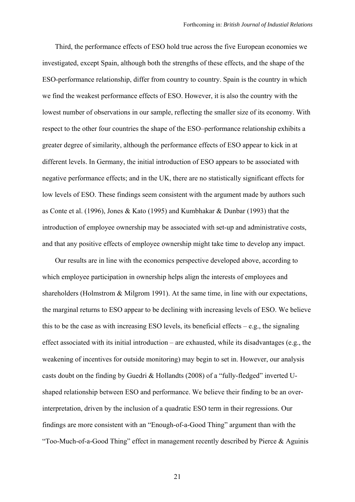Third, the performance effects of ESO hold true across the five European economies we investigated, except Spain, although both the strengths of these effects, and the shape of the ESO-performance relationship, differ from country to country. Spain is the country in which we find the weakest performance effects of ESO. However, it is also the country with the lowest number of observations in our sample, reflecting the smaller size of its economy. With respect to the other four countries the shape of the ESO–performance relationship exhibits a greater degree of similarity, although the performance effects of ESO appear to kick in at different levels. In Germany, the initial introduction of ESO appears to be associated with negative performance effects; and in the UK, there are no statistically significant effects for low levels of ESO. These findings seem consistent with the argument made by authors such as Conte et al. (1996), Jones & Kato (1995) and Kumbhakar & Dunbar (1993) that the introduction of employee ownership may be associated with set-up and administrative costs, and that any positive effects of employee ownership might take time to develop any impact.

Our results are in line with the economics perspective developed above, according to which employee participation in ownership helps align the interests of employees and shareholders (Holmstrom & Milgrom 1991). At the same time, in line with our expectations, the marginal returns to ESO appear to be declining with increasing levels of ESO. We believe this to be the case as with increasing ESO levels, its beneficial effects  $-e.g.,$  the signaling effect associated with its initial introduction – are exhausted, while its disadvantages (e.g., the weakening of incentives for outside monitoring) may begin to set in. However, our analysis casts doubt on the finding by Guedri & Hollandts (2008) of a "fully-fledged" inverted Ushaped relationship between ESO and performance. We believe their finding to be an overinterpretation, driven by the inclusion of a quadratic ESO term in their regressions. Our findings are more consistent with an "Enough-of-a-Good Thing" argument than with the "Too-Much-of-a-Good Thing" effect in management recently described by Pierce & Aguinis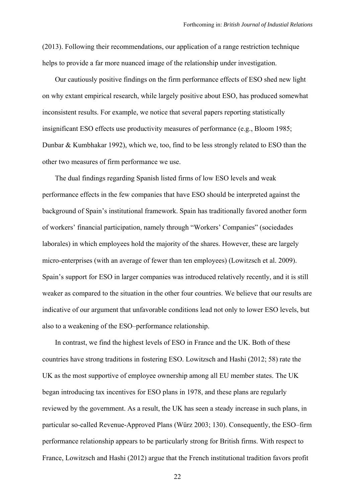(2013). Following their recommendations, our application of a range restriction technique helps to provide a far more nuanced image of the relationship under investigation.

Our cautiously positive findings on the firm performance effects of ESO shed new light on why extant empirical research, while largely positive about ESO, has produced somewhat inconsistent results. For example, we notice that several papers reporting statistically insignificant ESO effects use productivity measures of performance (e.g., Bloom 1985; Dunbar & Kumbhakar 1992), which we, too, find to be less strongly related to ESO than the other two measures of firm performance we use.

The dual findings regarding Spanish listed firms of low ESO levels and weak performance effects in the few companies that have ESO should be interpreted against the background of Spain's institutional framework. Spain has traditionally favored another form of workers' financial participation, namely through "Workers' Companies" (sociedades laborales) in which employees hold the majority of the shares. However, these are largely micro-enterprises (with an average of fewer than ten employees) (Lowitzsch et al. 2009). Spain's support for ESO in larger companies was introduced relatively recently, and it is still weaker as compared to the situation in the other four countries. We believe that our results are indicative of our argument that unfavorable conditions lead not only to lower ESO levels, but also to a weakening of the ESO–performance relationship.

In contrast, we find the highest levels of ESO in France and the UK. Both of these countries have strong traditions in fostering ESO. Lowitzsch and Hashi (2012; 58) rate the UK as the most supportive of employee ownership among all EU member states. The UK began introducing tax incentives for ESO plans in 1978, and these plans are regularly reviewed by the government. As a result, the UK has seen a steady increase in such plans, in particular so-called Revenue-Approved Plans (Würz 2003; 130). Consequently, the ESO–firm performance relationship appears to be particularly strong for British firms. With respect to France, Lowitzsch and Hashi (2012) argue that the French institutional tradition favors profit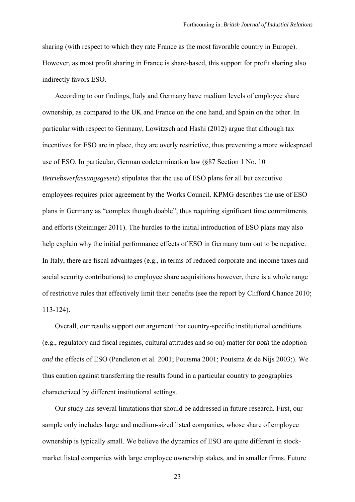sharing (with respect to which they rate France as the most favorable country in Europe). However, as most profit sharing in France is share-based, this support for profit sharing also indirectly favors ESO.

According to our findings, Italy and Germany have medium levels of employee share ownership, as compared to the UK and France on the one hand, and Spain on the other. In particular with respect to Germany, Lowitzsch and Hashi (2012) argue that although tax incentives for ESO are in place, they are overly restrictive, thus preventing a more widespread use of ESO. In particular, German codetermination law (§87 Section 1 No. 10 *Betriebsverfassungsgesetz*) stipulates that the use of ESO plans for all but executive employees requires prior agreement by the Works Council. KPMG describes the use of ESO plans in Germany as "complex though doable", thus requiring significant time commitments and efforts (Steininger 2011). The hurdles to the initial introduction of ESO plans may also help explain why the initial performance effects of ESO in Germany turn out to be negative. In Italy, there are fiscal advantages (e.g., in terms of reduced corporate and income taxes and social security contributions) to employee share acquisitions however, there is a whole range of restrictive rules that effectively limit their benefits (see the report by Clifford Chance 2010; 113-124).

Overall, our results support our argument that country-specific institutional conditions (e.g., regulatory and fiscal regimes, cultural attitudes and so on) matter for *both* the adoption *and* the effects of ESO (Pendleton et al. 2001; Poutsma 2001; Poutsma & de Nijs 2003;). We thus caution against transferring the results found in a particular country to geographies characterized by different institutional settings.

Our study has several limitations that should be addressed in future research. First, our sample only includes large and medium-sized listed companies, whose share of employee ownership is typically small. We believe the dynamics of ESO are quite different in stockmarket listed companies with large employee ownership stakes, and in smaller firms. Future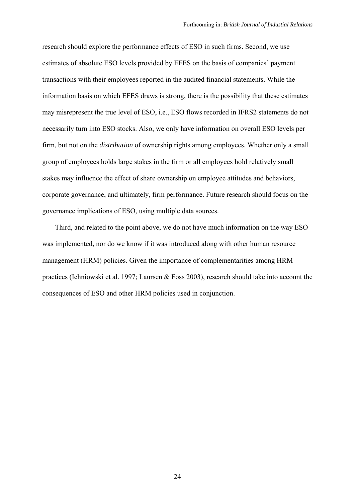research should explore the performance effects of ESO in such firms. Second, we use estimates of absolute ESO levels provided by EFES on the basis of companies' payment transactions with their employees reported in the audited financial statements. While the information basis on which EFES draws is strong, there is the possibility that these estimates may misrepresent the true level of ESO, i.e., ESO flows recorded in IFRS2 statements do not necessarily turn into ESO stocks. Also, we only have information on overall ESO levels per firm, but not on the *distribution* of ownership rights among employees. Whether only a small group of employees holds large stakes in the firm or all employees hold relatively small stakes may influence the effect of share ownership on employee attitudes and behaviors, corporate governance, and ultimately, firm performance. Future research should focus on the governance implications of ESO, using multiple data sources.

Third, and related to the point above, we do not have much information on the way ESO was implemented, nor do we know if it was introduced along with other human resource management (HRM) policies. Given the importance of complementarities among HRM practices (Ichniowski et al. 1997; Laursen & Foss 2003), research should take into account the consequences of ESO and other HRM policies used in conjunction.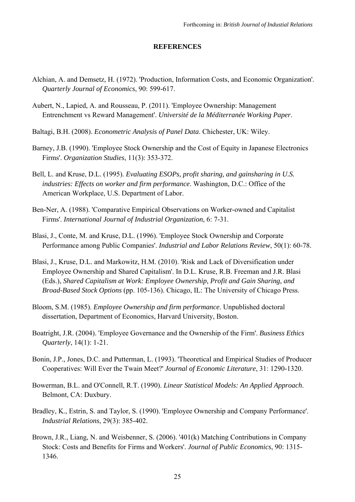#### **REFERENCES**

- Alchian, A. and Demsetz, H. (1972). 'Production, Information Costs, and Economic Organization'. *Quarterly Journal of Economics*, 90: 599-617.
- Aubert, N., Lapied, A. and Rousseau, P. (2011). 'Employee Ownership: Management Entrenchment vs Reward Management'. *Université de la Méditerranée Working Paper*.
- Baltagi, B.H. (2008). *Econometric Analysis of Panel Data*. Chichester, UK: Wiley.
- Barney, J.B. (1990). 'Employee Stock Ownership and the Cost of Equity in Japanese Electronics Firms'. *Organization Studies*, 11(3): 353-372.
- Bell, L. and Kruse, D.L. (1995). *Evaluating ESOPs, profit sharing, and gainsharing in U.S. industries: Effects on worker and firm performance*. Washington, D.C.: Office of the American Workplace, U.S. Department of Labor.
- Ben-Ner, A. (1988). 'Comparative Empirical Observations on Worker-owned and Capitalist Firms'. *International Journal of Industrial Organization*, 6: 7-31.
- Blasi, J., Conte, M. and Kruse, D.L. (1996). 'Employee Stock Ownership and Corporate Performance among Public Companies'. *Industrial and Labor Relations Review*, 50(1): 60-78.
- Blasi, J., Kruse, D.L. and Markowitz, H.M. (2010). 'Risk and Lack of Diversification under Employee Ownership and Shared Capitalism'. In D.L. Kruse, R.B. Freeman and J.R. Blasi (Eds.), *Shared Capitalism at Work: Employee Ownership, Profit and Gain Sharing, and Broad-Based Stock Options* (pp. 105-136). Chicago, IL: The University of Chicago Press.
- Bloom, S.M. (1985). *Employee Ownership and firm performance*. Unpublished doctoral dissertation, Department of Economics, Harvard University, Boston.
- Boatright, J.R. (2004). 'Employee Governance and the Ownership of the Firm'. *Business Ethics Quarterly*, 14(1): 1-21.
- Bonin, J.P., Jones, D.C. and Putterman, L. (1993). 'Theoretical and Empirical Studies of Producer Cooperatives: Will Ever the Twain Meet?' *Journal of Economic Literature*, 31: 1290-1320.
- Bowerman, B.L. and O'Connell, R.T. (1990). *Linear Statistical Models: An Applied Approach*. Belmont, CA: Duxbury.
- Bradley, K., Estrin, S. and Taylor, S. (1990). 'Employee Ownership and Company Performance'. *Industrial Relations*, 29(3): 385-402.
- Brown, J.R., Liang, N. and Weisbenner, S. (2006). '401(k) Matching Contributions in Company Stock: Costs and Benefits for Firms and Workers'. *Journal of Public Economics*, 90: 1315- 1346.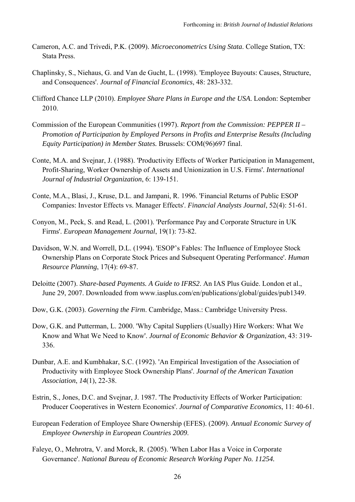- Cameron, A.C. and Trivedi, P.K. (2009). *Microeconometrics Using Stata*. College Station, TX: Stata Press.
- Chaplinsky, S., Niehaus, G. and Van de Gucht, L. (1998). 'Employee Buyouts: Causes, Structure, and Consequences'. *Journal of Financial Economics*, 48: 283-332.
- Clifford Chance LLP (2010). *Employee Share Plans in Europe and the USA*. London: September 2010.
- Commission of the European Communities (1997). *Report from the Commission: PEPPER II Promotion of Participation by Employed Persons in Profits and Enterprise Results (Including Equity Participation) in Member States.* Brussels: COM(96)697 final.
- Conte, M.A. and Svejnar, J. (1988). 'Productivity Effects of Worker Participation in Management, Profit-Sharing, Worker Ownership of Assets and Unionization in U.S. Firms'. *International Journal of Industrial Organization*, 6: 139-151.
- Conte, M.A., Blasi, J., Kruse, D.L. and Jampani, R. 1996. 'Financial Returns of Public ESOP Companies: Investor Effects vs. Manager Effects'. *Financial Analysts Journal*, 52(4): 51-61.
- Conyon, M., Peck, S. and Read, L. (2001). 'Performance Pay and Corporate Structure in UK Firms'. *European Management Journal*, 19(1): 73-82.
- Davidson, W.N. and Worrell, D.L. (1994). 'ESOP's Fables: The Influence of Employee Stock Ownership Plans on Corporate Stock Prices and Subsequent Operating Performance'. *Human Resource Planning*, 17(4): 69-87.
- Deloitte (2007). *Share-based Payments. A Guide to IFRS2*. An IAS Plus Guide. London et al., June 29, 2007. Downloaded from www.iasplus.com/en/publications/global/guides/pub1349.
- Dow, G.K. (2003). *Governing the Firm*. Cambridge, Mass.: Cambridge University Press.
- Dow, G.K. and Putterman, L. 2000. 'Why Capital Suppliers (Usually) Hire Workers: What We Know and What We Need to Know'. *Journal of Economic Behavior & Organization*, 43: 319- 336.
- Dunbar, A.E. and Kumbhakar, S.C. (1992). 'An Empirical Investigation of the Association of Productivity with Employee Stock Ownership Plans'. *Journal of the American Taxation Association*, *14*(1), 22-38.
- Estrin, S., Jones, D.C. and Svejnar, J. 1987. 'The Productivity Effects of Worker Participation: Producer Cooperatives in Western Economics'. *Journal of Comparative Economics*, 11: 40-61.
- European Federation of Employee Share Ownership (EFES). (2009). *Annual Economic Survey of Employee Ownership in European Countries 2009*.
- Faleye, O., Mehrotra, V. and Morck, R. (2005). 'When Labor Has a Voice in Corporate Governance'. *National Bureau of Economic Research Working Paper No. 11254.*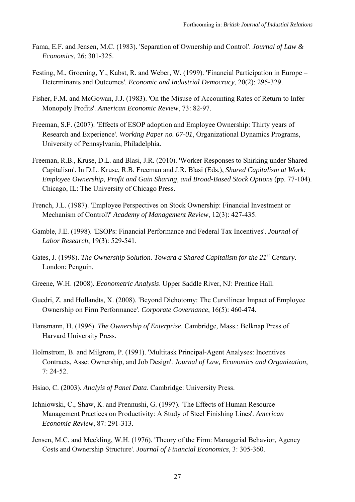- Fama, E.F. and Jensen, M.C. (1983). 'Separation of Ownership and Control'. *Journal of Law & Economics*, 26: 301-325.
- Festing, M., Groening, Y., Kabst, R. and Weber, W. (1999). 'Financial Participation in Europe Determinants and Outcomes'. *Economic and Industrial Democracy*, 20(2): 295-329.
- Fisher, F.M. and McGowan, J.J. (1983). 'On the Misuse of Accounting Rates of Return to Infer Monopoly Profits'. *American Economic Review*, 73: 82-97.
- Freeman, S.F. (2007). 'Effects of ESOP adoption and Employee Ownership: Thirty years of Research and Experience'. *Working Paper no. 07-01*, Organizational Dynamics Programs, University of Pennsylvania, Philadelphia.
- Freeman, R.B., Kruse, D.L. and Blasi, J.R. (2010). 'Worker Responses to Shirking under Shared Capitalism'. In D.L. Kruse, R.B. Freeman and J.R. Blasi (Eds.), *Shared Capitalism at Work: Employee Ownership, Profit and Gain Sharing, and Broad-Based Stock Options* (pp. 77-104). Chicago, IL: The University of Chicago Press.
- French, J.L. (1987). 'Employee Perspectives on Stock Ownership: Financial Investment or Mechanism of Control?' *Academy of Management Review*, 12(3): 427-435.
- Gamble, J.E. (1998). 'ESOPs: Financial Performance and Federal Tax Incentives'. *Journal of Labor Research*, 19(3): 529-541.
- Gates, J. (1998). *The Ownership Solution. Toward a Shared Capitalism for the 21<sup>st</sup> Century.* London: Penguin.
- Greene, W.H. (2008). *Econometric Analysis*. Upper Saddle River, NJ: Prentice Hall.
- Guedri, Z. and Hollandts, X. (2008). 'Beyond Dichotomy: The Curvilinear Impact of Employee Ownership on Firm Performance'. *Corporate Governance*, 16(5): 460-474.
- Hansmann, H. (1996). *The Ownership of Enterprise*. Cambridge, Mass.: Belknap Press of Harvard University Press.
- Holmstrom, B. and Milgrom, P. (1991). 'Multitask Principal-Agent Analyses: Incentives Contracts, Asset Ownership, and Job Design'. *Journal of Law, Economics and Organization*, 7: 24-52.
- Hsiao, C. (2003). *Analyis of Panel Data*. Cambridge: University Press.
- Ichniowski, C., Shaw, K. and Prennushi, G. (1997). 'The Effects of Human Resource Management Practices on Productivity: A Study of Steel Finishing Lines'. *American Economic Review*, 87: 291-313.
- Jensen, M.C. and Meckling, W.H. (1976). 'Theory of the Firm: Managerial Behavior, Agency Costs and Ownership Structure'. *Journal of Financial Economics*, 3: 305-360.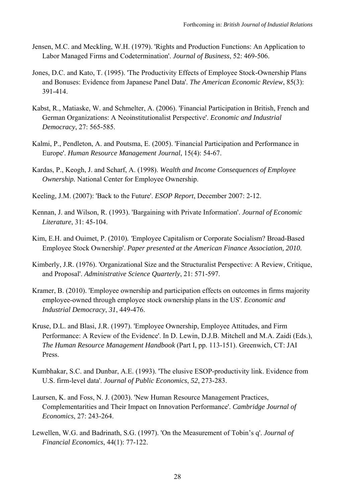- Jensen, M.C. and Meckling, W.H. (1979). 'Rights and Production Functions: An Application to Labor Managed Firms and Codetermination'. *Journal of Business*, 52: 469-506.
- Jones, D.C. and Kato, T. (1995). 'The Productivity Effects of Employee Stock-Ownership Plans and Bonuses: Evidence from Japanese Panel Data'. *The American Economic Review*, 85(3): 391-414.
- Kabst, R., Matiaske, W. and Schmelter, A. (2006). 'Financial Participation in British, French and German Organizations: A Neoinstitutionalist Perspective'. *Economic and Industrial Democracy*, 27: 565-585.
- Kalmi, P., Pendleton, A. and Poutsma, E. (2005). 'Financial Participation and Performance in Europe'. *Human Resource Management Journal*, 15(4): 54-67.
- Kardas, P., Keogh, J. and Scharf, A. (1998). *Wealth and Income Consequences of Employee Ownership.* National Center for Employee Ownership.
- Keeling, J.M. (2007): 'Back to the Future'. *ESOP Report*, December 2007: 2-12.
- Kennan, J. and Wilson, R. (1993). 'Bargaining with Private Information'. *Journal of Economic Literature*, 31: 45-104.
- Kim, E.H. and Ouimet, P. (2010)*. '*Employee Capitalism or Corporate Socialism? Broad-Based Employee Stock Ownership'. *Paper presented at the American Finance Association, 2010.*
- Kimberly, J.R. (1976). 'Organizational Size and the Structuralist Perspective: A Review, Critique, and Proposal'. *Administrative Science Quarterly*, 21: 571-597.
- Kramer, B. (2010). 'Employee ownership and participation effects on outcomes in firms majority employee-owned through employee stock ownership plans in the US'. *Economic and Industrial Democracy*, *31*, 449-476.
- Kruse, D.L. and Blasi, J.R. (1997). 'Employee Ownership, Employee Attitudes, and Firm Performance: A Review of the Evidence'. In D. Lewin, D.J.B. Mitchell and M.A. Zaidi (Eds.), *The Human Resource Management Handbook* (Part I, pp. 113-151). Greenwich, CT: JAI Press.
- Kumbhakar, S.C. and Dunbar, A.E. (1993). 'The elusive ESOP-productivity link. Evidence from U.S. firm-level data'. *Journal of Public Economics*, *52*, 273-283.
- Laursen, K. and Foss, N. J. (2003). 'New Human Resource Management Practices, Complementarities and Their Impact on Innovation Performance'. *Cambridge Journal of Economics*, 27: 243-264.
- Lewellen, W.G. and Badrinath, S.G. (1997). 'On the Measurement of Tobin's q'. *Journal of Financial Economics*, 44(1): 77-122.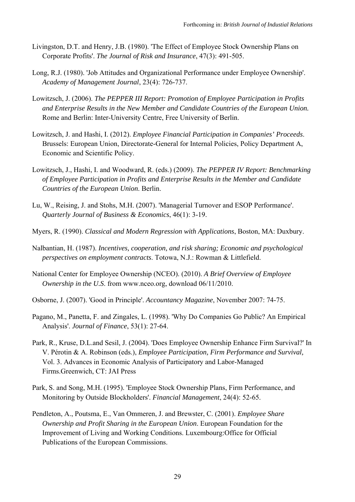- Livingston, D.T. and Henry, J.B. (1980). 'The Effect of Employee Stock Ownership Plans on Corporate Profits'. *The Journal of Risk and Insurance*, 47(3): 491-505.
- Long, R.J. (1980). 'Job Attitudes and Organizational Performance under Employee Ownership'. *Academy of Management Journal*, 23(4): 726-737.
- Lowitzsch, J. (2006). *The PEPPER III Report: Promotion of Employee Participation in Profits and Enterprise Results in the New Member and Candidate Countries of the European Union.*  Rome and Berlin: Inter-University Centre, Free University of Berlin.
- Lowitzsch, J. and Hashi, I. (2012). *Employee Financial Participation in Companies' Proceeds*. Brussels: European Union, Directorate-General for Internal Policies, Policy Department A, Economic and Scientific Policy.
- Lowitzsch, J., Hashi, I. and Woodward, R. (eds.) (2009). *The PEPPER IV Report: Benchmarking of Employee Participation in Profits and Enterprise Results in the Member and Candidate Countries of the European Union*. Berlin.
- Lu, W., Reising, J. and Stohs, M.H. (2007). 'Managerial Turnover and ESOP Performance'. *Quarterly Journal of Business & Economics*, 46(1): 3-19.
- Myers, R. (1990). *Classical and Modern Regression with Applications*, Boston, MA: Duxbury.
- Nalbantian, H. (1987). *Incentives, cooperation, and risk sharing; Economic and psychological perspectives on employment contracts*. Totowa, N.J.: Rowman & Littlefield.
- National Center for Employee Ownership (NCEO). (2010). *A Brief Overview of Employee Ownership in the U.S*. from www.nceo.org, download 06/11/2010.
- Osborne, J. (2007). 'Good in Principle'. *Accountancy Magazine*, November 2007: 74-75.
- Pagano, M., Panetta, F. and Zingales, L. (1998). 'Why Do Companies Go Public? An Empirical Analysis'. *Journal of Finance*, 53(1): 27-64.
- Park, R., Kruse, D.L.and Sesil, J. (2004). 'Does Employee Ownership Enhance Firm Survival?' In V. Pérotin & A. Robinson (eds.), *Employee Participation, Firm Performance and Survival,*  Vol. 3. Advances in Economic Analysis of Participatory and Labor-Managed Firms.Greenwich, CT: JAI Press
- Park, S. and Song, M.H. (1995). 'Employee Stock Ownership Plans, Firm Performance, and Monitoring by Outside Blockholders'. *Financial Management*, 24(4): 52-65.
- Pendleton, A., Poutsma, E., Van Ommeren, J. and Brewster, C. (2001). *Employee Share Ownership and Profit Sharing in the European Union*. European Foundation for the Improvement of Living and Working Conditions. Luxembourg:Office for Official Publications of the European Commissions.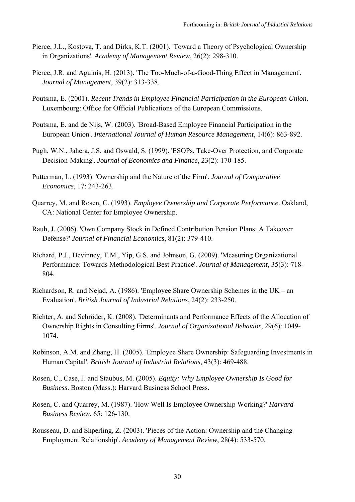- Pierce, J.L., Kostova, T. and Dirks, K.T. (2001). 'Toward a Theory of Psychological Ownership in Organizations'. *Academy of Management Review*, 26(2): 298-310.
- Pierce, J.R. and Aguinis, H. (2013). 'The Too-Much-of-a-Good-Thing Effect in Management'. *Journal of Management*, 39(2): 313-338.
- Poutsma, E. (2001). *Recent Trends in Employee Financial Participation in the European Union*. Luxembourg: Office for Official Publications of the European Commissions.
- Poutsma, E. and de Nijs, W. (2003). 'Broad-Based Employee Financial Participation in the European Union'. *International Journal of Human Resource Management*, 14(6): 863-892.
- Pugh, W.N., Jahera, J.S. and Oswald, S. (1999). 'ESOPs, Take-Over Protection, and Corporate Decision-Making'. *Journal of Economics and Finance*, 23(2): 170-185.
- Putterman, L. (1993). 'Ownership and the Nature of the Firm'. *Journal of Comparative Economics*, 17: 243-263.
- Quarrey, M. and Rosen, C. (1993). *Employee Ownership and Corporate Performance*. Oakland, CA: National Center for Employee Ownership.
- Rauh, J. (2006). 'Own Company Stock in Defined Contribution Pension Plans: A Takeover Defense?' *Journal of Financial Economics*, 81(2): 379-410.
- Richard, P.J., Devinney, T.M., Yip, G.S. and Johnson, G. (2009). 'Measuring Organizational Performance: Towards Methodological Best Practice'. *Journal of Management*, 35(3): 718- 804.
- Richardson, R. and Nejad, A. (1986). 'Employee Share Ownership Schemes in the UK an Evaluation'. *British Journal of Industrial Relations*, 24(2): 233-250.
- Richter, A. and Schröder, K. (2008). 'Determinants and Performance Effects of the Allocation of Ownership Rights in Consulting Firms'. *Journal of Organizational Behavior*, 29(6): 1049- 1074.
- Robinson, A.M. and Zhang, H. (2005). 'Employee Share Ownership: Safeguarding Investments in Human Capital'. *British Journal of Industrial Relations*, 43(3): 469-488.
- Rosen, C., Case, J. and Staubus, M. (2005). *Equity: Why Employee Ownership Is Good for Business*. Boston (Mass.): Harvard Business School Press.
- Rosen, C. and Quarrey, M. (1987). 'How Well Is Employee Ownership Working?' *Harvard Business Review*, 65: 126-130.
- Rousseau, D. and Shperling, Z. (2003). 'Pieces of the Action: Ownership and the Changing Employment Relationship'. *Academy of Management Review*, 28(4): 533-570.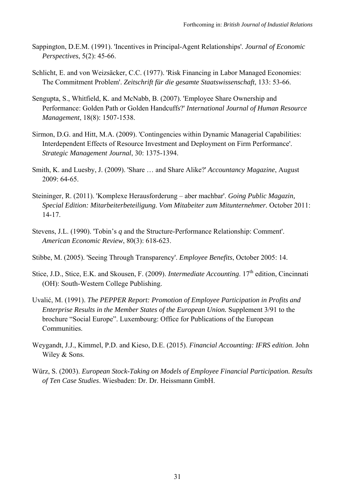- Sappington, D.E.M. (1991). 'Incentives in Principal-Agent Relationships'. *Journal of Economic Perspectives*, 5(2): 45-66.
- Schlicht, E. and von Weizsäcker, C.C. (1977). 'Risk Financing in Labor Managed Economies: The Commitment Problem'. *Zeitschrift für die gesamte Staatswissenschaft*, 133: 53-66.
- Sengupta, S., Whitfield, K. and McNabb, B. (2007). 'Employee Share Ownership and Performance: Golden Path or Golden Handcuffs?' *International Journal of Human Resource Management*, 18(8): 1507-1538.
- Sirmon, D.G. and Hitt, M.A. (2009). 'Contingencies within Dynamic Managerial Capabilities: Interdependent Effects of Resource Investment and Deployment on Firm Performance'. *Strategic Management Journal*, 30: 1375-1394.
- Smith, K. and Luesby, J. (2009). 'Share … and Share Alike?' *Accountancy Magazine*, August 2009: 64-65.
- Steininger, R. (2011). 'Komplexe Herausforderung aber machbar'. *Going Public Magazin, Special Edition: Mitarbeiterbeteiligung. Vom Mitabeiter zum Mitunternehmer.* October 2011: 14-17.
- Stevens, J.L. (1990). 'Tobin's *q* and the Structure-Performance Relationship: Comment'. *American Economic Review*, 80(3): 618-623.
- Stibbe, M. (2005). 'Seeing Through Transparency'. *Employee Benefits*, October 2005: 14.
- Stice, J.D., Stice, E.K. and Skousen, F. (2009). *Intermediate Accounting*. 17<sup>th</sup> edition, Cincinnati (OH): South-Western College Publishing.
- Uvalić, M. (1991). *The PEPPER Report: Promotion of Employee Participation in Profits and Enterprise Results in the Member States of the European Union.* Supplement 3/91 to the brochure "Social Europe". Luxembourg: Office for Publications of the European Communities.
- Weygandt, J.J., Kimmel, P.D. and Kieso, D.E. (2015). *Financial Accounting: IFRS edition*. John Wiley & Sons.
- Würz, S. (2003). *European Stock-Taking on Models of Employee Financial Participation. Results of Ten Case Studies*. Wiesbaden: Dr. Dr. Heissmann GmbH.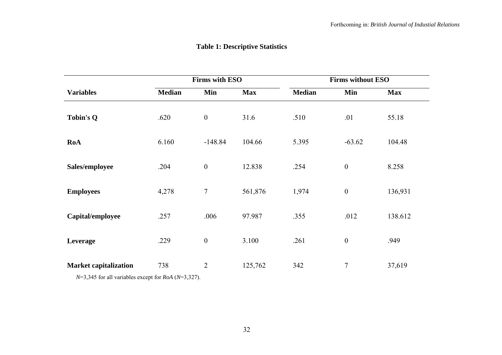# **Table 1: Descriptive Statistics**

|                              | <b>Firms with ESO</b> |                  |            | <b>Firms without ESO</b> |                  |            |  |
|------------------------------|-----------------------|------------------|------------|--------------------------|------------------|------------|--|
| <b>Variables</b>             | <b>Median</b>         | Min              | <b>Max</b> | <b>Median</b>            | Min              | <b>Max</b> |  |
| <b>Tobin's Q</b>             | .620                  | $\boldsymbol{0}$ | 31.6       | .510                     | .01              | 55.18      |  |
| RoA                          | 6.160                 | $-148.84$        | 104.66     | 5.395                    | $-63.62$         | 104.48     |  |
| Sales/employee               | .204                  | $\boldsymbol{0}$ | 12.838     | .254                     | $\boldsymbol{0}$ | 8.258      |  |
| <b>Employees</b>             | 4,278                 | $\tau$           | 561,876    | 1,974                    | $\boldsymbol{0}$ | 136,931    |  |
| Capital/employee             | .257                  | .006             | 97.987     | .355                     | .012             | 138.612    |  |
| Leverage                     | .229                  | $\boldsymbol{0}$ | 3.100      | .261                     | $\boldsymbol{0}$ | .949       |  |
| <b>Market capitalization</b> | 738                   | $\overline{2}$   | 125,762    | 342                      | $\overline{7}$   | 37,619     |  |

*N*=3,345 for all variables except for *RoA* (*N*=3,327).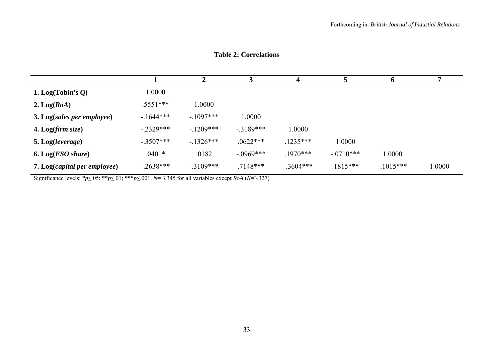|  |  |  | <b>Table 2: Correlations</b> |
|--|--|--|------------------------------|
|--|--|--|------------------------------|

|                                   |             |            |             | $\boldsymbol{4}$ | 5           | $\mathbf o$ |        |
|-----------------------------------|-------------|------------|-------------|------------------|-------------|-------------|--------|
| 1. Log(Tobin's $Q$ )              | 1.0000      |            |             |                  |             |             |        |
| 2. $Log(RoA)$                     | $.5551***$  | 0000.1     |             |                  |             |             |        |
| 3. Log(sales per employee)        | $-1644***$  | $-1097***$ | 1.0000      |                  |             |             |        |
| <b>4.</b> Log( <i>firm size</i> ) | $-2329***$  | $-1209***$ | $-3189***$  | 1.0000           |             |             |        |
| 5. Log(leverage)                  | $-.3507***$ | $-1326***$ | $.0622***$  | $.1235***$       | 1.0000      |             |        |
| <b>6.</b> Log( <i>ESO</i> share)  | $.0401*$    | .0182      | $-.0969***$ | $.1970***$       | $-.0710***$ | 1.0000      |        |
| 7. Log(capital per employee)      | $-.2638***$ | $-3109***$ | $.7148***$  | $-.3604***$      | $.1815***$  | $-1015***$  | 1.0000 |

Significance levels: \* $p \le 0.05$ ; \*\* $p \le 0.01$ ; \*\*\* $p \le 0.001$ . *N*= 3,345 for all variables except *RoA* (*N*=3,327)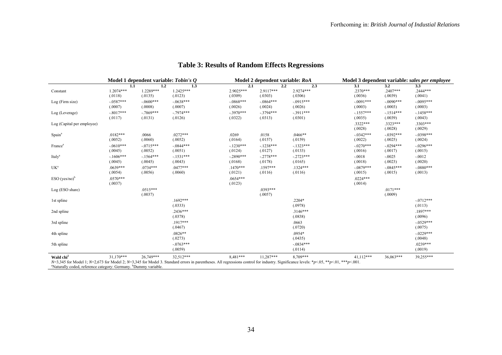|                            | Model 1 dependent variable: Tobin's O |                        |                         | Model 2 dependent variable: RoA |                        |                         | Model 3 dependent variable: sales per employee |                        |                         |
|----------------------------|---------------------------------------|------------------------|-------------------------|---------------------------------|------------------------|-------------------------|------------------------------------------------|------------------------|-------------------------|
|                            | 1.1                                   | $1.2\phantom{0}$       | 1.3                     | 2.1                             | 2.2                    | 2.3                     | 3.1                                            | 3.2                    | 3.3                     |
| Constant                   | $1.2074***$<br>(.0118)                | 1.2289***<br>(.0135)   | 1.2425***<br>(.0123)    | 2.9025***<br>(.0309)            | $2.9117***$<br>(.0303) | 2.9274***<br>(.0306)    | $.2370***$<br>(.0036)                          | $.2407***$<br>(.0039)  | $.2444***$<br>(.0041)   |
| Log (Firm size)            | $-0.0587***$<br>(.0007)               | $-.0600***$<br>(.0008) | $-0638***$<br>(.0007)   | $-0868***$<br>(.0026)           | $-0864***$<br>(.0024)  | $-0.0915***$<br>(.0026) | $-0091***$<br>(.0003)                          | $-.0090***$<br>(.0003) | $-0.095***$<br>(.0003)  |
| Log (Leverage)             | $-8017***$<br>(.0117)                 | $-7869***$<br>(.0131)  | $-7974***$<br>(.0126)   | $-.3970***$<br>(.0322)          | $-3794***$<br>(.0313)  | $-.3911***$<br>(.0301)  | $-1557***$<br>(.0035)                          | $-1514***$<br>(.0039)  | $-1458***$<br>(.0043)   |
| Log (Capital per employee) |                                       |                        |                         |                                 |                        |                         | $.3322***$<br>(.0028)                          | .3323***<br>(.0028)    | .3303***<br>(.0029)     |
| Spain <sup>a</sup>         | $.0182***$<br>(.0052)                 | .0066<br>(.0060)       | $.0272***$<br>(.0052)   | .0269<br>(.0164)                | .0158<br>(.0157)       | $.0466**$<br>(.0159)    | $-0.342***$<br>(.0022)                         | $-0.392***$<br>(.0025) | $-0.0398***$<br>(.0024) |
| France <sup>a</sup>        | $-0610***$<br>(.0045)                 | $-.0715***$<br>(.0052) | $-0844***$<br>(.0051)   | $-1230***$<br>(.0124)           | $-.1238***$<br>(.0127) | $-.1323***$<br>(.0133)  | $-0.0270***$<br>(.0016)                        | $-.0294***$<br>(.0017) | $-0.0296***$<br>(.0015) |
| Italy <sup>a</sup>         | $-1606***$<br>(.0045)                 | $-1564***$<br>(.0045)  | $-1531***$<br>(.0043)   | $-2890***$<br>(.0168)           | $-.2778***$<br>(.0178) | $-2723***$<br>(.0165)   | $-.0018$<br>(.0018)                            | $-.0025$<br>(.0023)    | $-.0012$<br>(.0020)     |
| UK <sup>a</sup>            | $.0639***$<br>(.0054)                 | $.0734***$<br>(.0056)  | $.0477***$<br>(.0060)   | $.1470***$<br>(.0121)           | $.1597***$<br>(.0116)  | $.1324***$<br>(.0116)   | $-0879***$<br>(.0015)                          | $-0845***$<br>(.0015)  | $-.0880***$<br>(.0013)  |
| $ESO (yes/no)^b$           | $.0570***$<br>(.0037)                 |                        |                         | $.0654***$<br>(.0123)           |                        |                         | $.0224***$<br>(.0014)                          |                        |                         |
| Log (ESO share)            |                                       | $.0515***$<br>(.0037)  |                         |                                 | $.0393***$<br>(.0057)  |                         |                                                | $.0171***$<br>(.0009)  |                         |
| 1st spline                 |                                       |                        | $.1692***$<br>(.0333)   |                                 |                        | .2204*<br>(.0978)       |                                                |                        | $-0712***$<br>(.0113)   |
| 2nd spline                 |                                       |                        | $.2436***$<br>(.0378)   |                                 |                        | $.3146***$<br>(.0838)   |                                                |                        | $.1897***$<br>(.0096)   |
| 3rd spline                 |                                       |                        | $.1917***$<br>(.0467)   |                                 |                        | .0663<br>(.0720)        |                                                |                        | $-.0529***$<br>(.0075)  |
| 4th spline                 |                                       |                        | $.0826**$<br>(.0273)    |                                 |                        | $.0954*$<br>(.0435)     |                                                |                        | $-.0229***$<br>(.0048)  |
| 5th spline                 |                                       |                        | $-0.0763***$<br>(.0059) |                                 |                        | $-.0834***$<br>(.0114)  |                                                |                        | $.0239***$<br>(.0019)   |
| Wald chi <sup>2</sup>      | $31,170***$                           | 26,749***              | 32,512***               | 8,481 ***                       | 11,287***              | 8,709***                | 41,112***                                      | 36,063***              | 39,255***               |

# **Table 3: Results of Random Effects Regressions**

N=3,345 for Model 1; N=2,673 for Model 2; N=3,345 for Model 3. Standard errors in parentheses. All regressions control for industry. Significance levels: \*p<.05, \*\*p<.01, \*\*\*p<.001.<br>"Naturally coded, reference category: G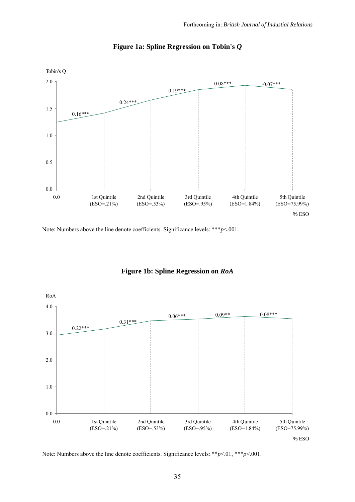

# **Figure 1a: Spline Regression on Tobin's** *Q*

Note: Numbers above the line denote coefficients. Significance levels: \*\*\**p*<.001.



# **Figure 1b: Spline Regression on** *RoA*

Note: Numbers above the line denote coefficients. Significance levels: \*\**p*<.01, \*\*\**p*<.001.